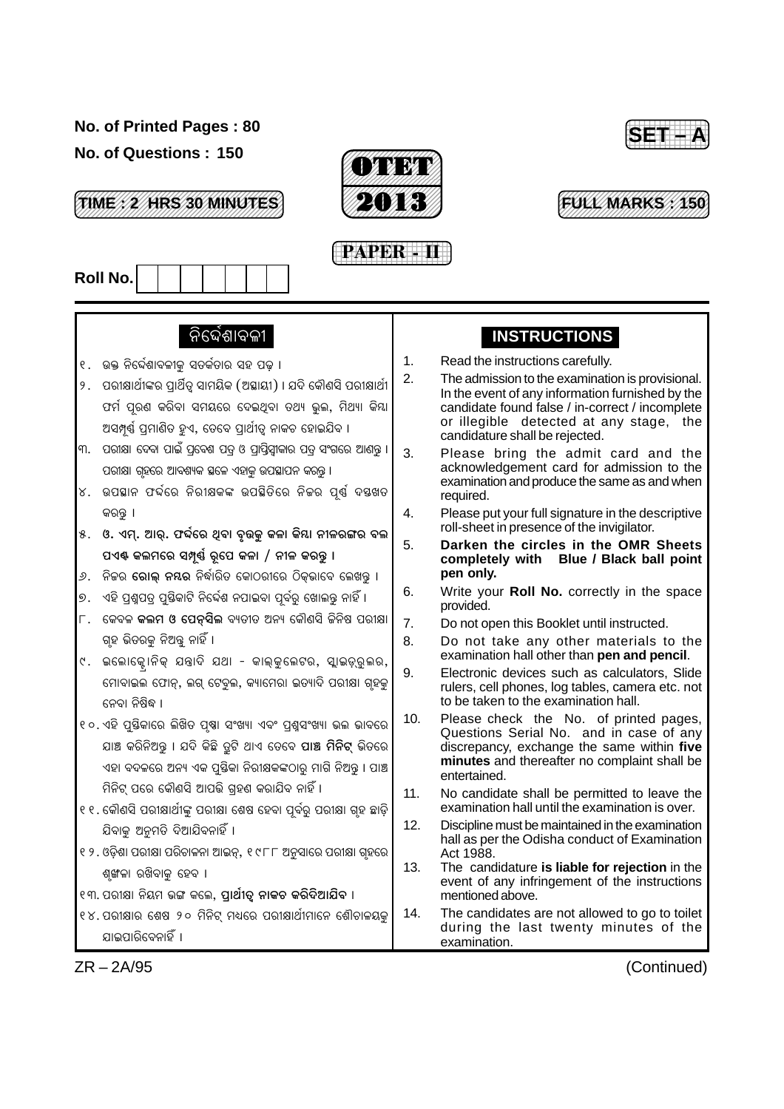#### **No. of Printed Pages : 80**

**No. of Questions : 150**



12345678901234567890123456789012123 **FULL MARKS : 150** 12345678901234567890123456789012123 12345678901234567890123456789012123 12345678901234567890123456789012123

123456789012345678901234567890121234567890123456 123456789012345678901234567890121234567890123456 123456789012345678901234567890121234567890123456 123456789012345678901234567890121234567890123456 **TIME : 2 HRS 30 MINUTES** 123456789012345678901234567890121234567890123456 123456789012345678901234567890121234567890123456 123456789012345678901234567890121234567890123456







### ନିର୍ଦ୍ଦେଶାବଳୀ

- ୧. ଉକ୍ତ ନିର୍ଦ୍ଦେଶାବଳୀକୁ ସତର୍କତାର ସହ ପଢ଼ ।  $\vert$ ୨. ପରୀକ୍ଷାର୍ଥୀଙ୍କର ପାର୍ଥିତ୍ ସାମୟିକ (ଅସ୍ଥାୟୀ) । ଯଦି କୌଣସି ପରୀକ୍ଷାର୍ଥୀ ଫର୍ମ ପ୍ରଶ କରିବା ସମୟରେ ଦେଇଥିବା ତଥ୍ୟ ଭୁଲ, ମିଥ୍ୟା କିୟା ଅସମ୍ପୂର୍ଣ୍ଣ ପ୍ରମାଣିତ ହୁଏ, ତେବେ ପ୍ରାର୍ଥୀତ୍ୱ ନାକଚ ହୋଇଯିବ ।
- ।୩. ପରୀକ୍ଷା ଦେବା ପାଇଁ ପ୍ରବେଶ ପତ୍ର ଓ ପ୍ରାପ୍ତିସ୍ୱୀକାର ପତ୍ର ସଂଗରେ ଆଶନ୍ତ । ପରୀକ୍ଷା ଗହରେ ଆବଶ୍ୟକ ସ୍ଥଳେ ଏହାକ ଉପସ୍ଥାପନ କରନ୍ତ ।
- $\vert$ ୪. ଉପଛାନ ଫର୍ଦ୍ଦରେ ନିରୀକ୍ଷକଙ୍କ ଉପଛିତିରେ ନିଜର ପ୍ର୍ଷ୍ ଦୟଖତ କରନ୍ତ ।
- $\vert$ ୫.  $\vert$ ଓ. ଏମ୍. ଆର୍. ଫର୍ଦ୍ଦରେ ଥିବା ବୂଉକୁ କଳା କିୟା ନୀଳରଙ୍ଗର ବଲ ପଏ୍ଷ କଲମରେ ସମ୍ପୂର୍ଣ୍ଣ ରୂପେ କଳା / ନୀଳ କରନ୍ତୁ ।
- ।<br>୬. ନିକର **ରୋଲ ନୟର** ନିର୍ଦ୍ଧାରିତ କୋଠରୀରେ ଠିକଭାବେ ଲେଖନ୍ତ ।
- ।<br>୭. ଏହି ପ୍ରଶ୍ରପତ୍ୱ ପୁଷିକାଟି ନିର୍ଦ୍ଦେଶ ନପାଇବା ପ୍ରବ୍ରୁ ଖୋଲ୍ଢ଼ ନାହିଁ ।
- ।<br>୮. କେବଳ **କଲମ ଓ ପେତ୍ସିଲ** ବ୍ୟତୀତ ଅନ୍ୟ କୌଣସି ଜିନିଷ ପରୀକ୍ଷା ଗ୍ହ ଭିତରକ ନିଅନ୍ତ ନାହିଁ ।
- ୯. ଇଲୋକ୍ଟୋନିକ୍ ଯଖାଦି ଯଥା କାଲ୍କୁଲେଟର, ସ୍ଲାଇଡ଼୍ରୁଲର, ÷ ିମୋବାଇଲ ଫୋନ୍, ଲଗ୍ ଟେବୁଲ, କ୍ୟାମେରା ଇଡ୍ୟାଦି ପରୀକ୍ଷା ଗୃହକୁ  $699$ । ନିଷିଦ୍ଧ ।
- ୧୦. ଏହି ପୁୟିକାରେ ଲିଖିତ ପୃଷା ସଂଖ୍ୟା ଏବଂ ପ୍ରଶ୍ନସଂଖ୍ୟା ଭଲ ଭାବରେ ଯାଞ୍ଚ କରିନିଅନ୍ତ । ଯଦି କିଛି ତ୍ରଟି ଥାଏ ତେବେ **ପାଞ୍ଚ ମିନିଟ୍** ଭିତରେ ଏହା ବଦଳରେ ଅନ୍ୟ ଏକ ପୁୟିକା ନିରୀକ୍ଷକଙ୍କଠାରୁ ମାଗି ନିଅନ୍ତୁ । ପାଞ୍ଚ ଼ିମନିଟ୍ ପରେ କୌଣସି ଆପତ୍ତି ଗହଣ କରାଯିବ ନାହିଁ ।
- ।୧ ୧ . କୌଣସି ପରୀକ୍ଷାର୍ଥୀଙ୍କ ପରୀକ୍ଷା ଶେଷ ହେବା ପୂର୍ବରୁ ପରୀକ୍ଷା ଗୃହ ଛାଡ଼ି ଯିବାକ ଅନମତି ଦିଆଯିବନାହିଁ ।
- ୧ ୨. ଓଡ଼ିଶା ପରୀକ୍ଷା ପରିଚାଳନା ଆଇନ୍, ୧୯୮୮ ଅନୁସାରେ ପରୀକ୍ଷା ଗୃହରେ ଶଙ୍ଖଳା ରଖିବାକ ହେବ ।
- ୧୩. ପରୀକ୍ଷା ନିୟମ ଭଙ୍ଗ କଲେ, **ପାର୍ଥୀତ୍ ନାକଚ କରିଦିଆଯିବ** ।
- $\vert$ ୧୪. ପରୀକ୍ଷାର ଶେଷ ୨୦ ମିନିଟ୍ ମଧ୍ୟରେ ପରୀକ୍ଷାର୍ଥୀମାନେ ଶୌଚାଳୟକ ଯାଇପାରିବେନାହିଁ ।

## **INSTRUCTIONS**

- 1. Read the instructions carefully.
- 2. The admission to the examination is provisional. In the event of any information furnished by the candidate found false / in-correct / incomplete or illegible detected at any stage, the candidature shall be rejected.
- 3. Please bring the admit card and the acknowledgement card for admission to the examination and produce the same as and when required.
- 4. Please put your full signature in the descriptive roll-sheet in presence of the invigilator.
- 5. **Darken the circles in the OMR Sheets completely with Blue / Black ball point pen only.**
- 6. Write your **Roll No.** correctly in the space provided.
- 7. Do not open this Booklet until instructed.
- 8. Do not take any other materials to the examination hall other than **pen and pencil**.
- 9. Electronic devices such as calculators, Slide rulers, cell phones, log tables, camera etc. not to be taken to the examination hall.
- 10. Please check the No. of printed pages, Questions Serial No. and in case of any discrepancy, exchange the same within **five minutes** and thereafter no complaint shall be entertained.
- 11. No candidate shall be permitted to leave the examination hall until the examination is over.
- 12. Discipline must be maintained in the examination hall as per the Odisha conduct of Examination Act 1988.
- 13. The candidature **is liable for rejection** in the event of any infringement of the instructions mentioned above.
- 14. The candidates are not allowed to go to toilet during the last twenty minutes of the examination.

ZR – 2A/95 (Continued)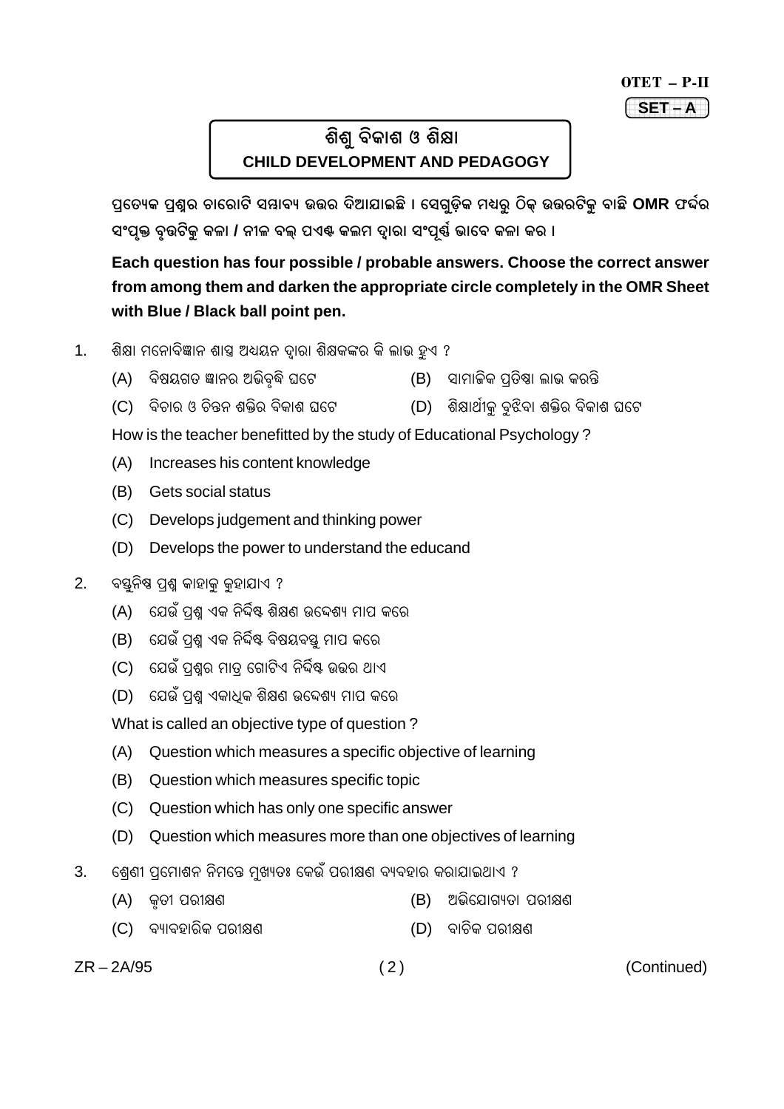# OTET - P-II

#### $SET - A$

# ଶିଶ ବିକାଶ ଓ ଶିକ୍ଷା **CHILD DEVELOPMENT AND PEDAGOGY**

ପ୍ରତ୍ୟେକ ପ୍ରଶ୍ନର ଚାରୋଟି ସୟାବ୍ୟ ଉତ୍ତର ଦିଆଯାଇଛି । ସେଗୁଡ଼ିକ ମଧ୍ୟରୁ ଠିକ୍ ଉତ୍ତରଟିକୁ ବାଛି OMR ଫର୍ଦର ସଂପୃକ୍ତ ବୂଉଟିକୁ କଳା / ନୀଳ ବଲ୍ ପଏଣ୍ଟ କଲମ ଦ୍ୱାରା ସଂପ୍ରର୍ଣ୍ଣ ଭାବେ କଳା କର ।

### Each question has four possible / probable answers. Choose the correct answer from among them and darken the appropriate circle completely in the OMR Sheet with Blue / Black ball point pen.

- $1.$ ଶିକ୍ଷା ମନୋବିଜ୍ଞାନ ଶାସ୍ତ୍ର ଅଧ୍ୟୟନ ଦ୍ୱାରା ଶିକ୍ଷକଙ୍କର କି ଲାଭ ହୁଏ ?
	- ବିଷୟଗତ ଜ୍ଞାନର ଅଭିବ଼ଦ୍ଧି ଘଟେ (B) ସାମାଜିକ ପ୍ରତିଷ୍ଠା ଲାଭ କରନ୍ତି  $(A)$
	- (C) ବିଚାର ଓ ଚିନ୍ତନ ଶକ୍ତିର ବିକାଶ ଘଟେ (D) ଶିକ୍ଷାର୍ଥୀକୁ ବୁଝିବା ଶକ୍ତିର ବିକାଶ ଘଟେ

How is the teacher benefitted by the study of Educational Psychology?

- (A) Increases his content knowledge
- (B) Gets social status
- (C) Develops judgement and thinking power
- (D) Develops the power to understand the educand
- $2.$ ବସ୍ତୁନିଷ୍ଠ ପଶ୍ଚ କାହାକ କହାଯାଏ ?
	- (A) ଯେଉଁ ପଶ୍ଚ ଏକ ନିର୍ଦ୍ଦିଷ୍ଟ ଶିକ୍ଷଣ ଉଦ୍ଦେଶ୍ୟ ମାପ କରେ
	- ଯେଉଁ ପଶ୍ଚ ଏକ ନିର୍ଦ୍ଦିଷ୍ଟ ବିଷୟବସ୍ତ୍ର ମାପ କରେ  $(B)$
	- (C) ଯେଉଁ ପଶ୍ରର ମାତ୍ର ଗୋଟିଏ ନିର୍ଦ୍ଦିଷ୍ଟ ଉତ୍ତର ଥାଏ
	- (D) ଯେଉଁ ପଶ୍ଚ ଏକାଧିକ ଶିକ୍ଷଣ ଉଦ୍ଦେଶ୍ୟ ମାପ କରେ

What is called an objective type of question?

- (A) Question which measures a specific objective of learning
- (B) Question which measures specific topic
- (C) Question which has only one specific answer
- (D) Question which measures more than one objectives of learning
- ଶେଶୀ ପମୋଶନ ନିମନ୍ତେ ମଖ୍ୟତଃ କେଉଁ ପରୀକ୍ଷଣ ବ୍ୟବହାର କରାଯାଇଥାଏ ?  $\overline{3}$ .
	- (A) କତୀ ପରୀକ୍ଷଣ (B) ଅଭିଯୋଗ୍ୟତା ପରୀକ୍ଷଣ
	- (C) ବ୍ୟାବହାରିକ ପରୀକ୍ଷଣ (D) ବାଚିକ ପରୀକ୍ଷଣ

 $ZR - 2A/95$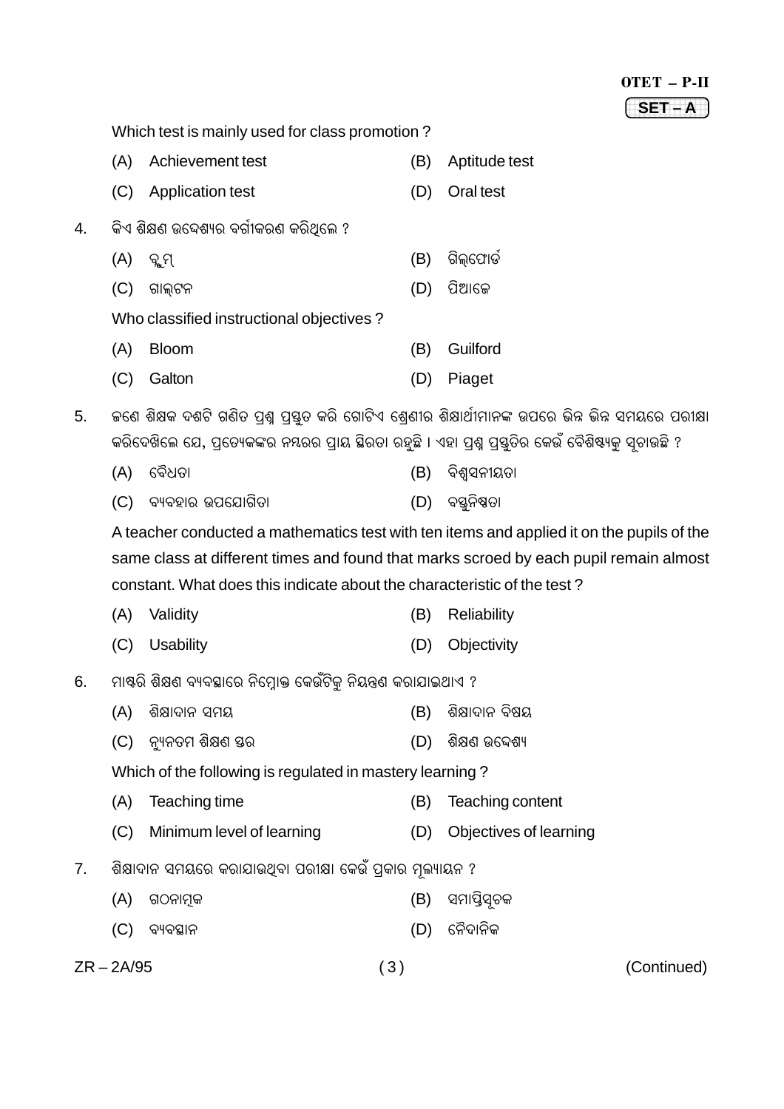|    |                                                                                                                                                                                                                |                                                                         |     | OTET - P-II                                                                               |
|----|----------------------------------------------------------------------------------------------------------------------------------------------------------------------------------------------------------------|-------------------------------------------------------------------------|-----|-------------------------------------------------------------------------------------------|
|    |                                                                                                                                                                                                                |                                                                         |     | SET-A                                                                                     |
|    |                                                                                                                                                                                                                | Which test is mainly used for class promotion?                          |     |                                                                                           |
|    | (A)                                                                                                                                                                                                            | Achievement test                                                        | (B) | Aptitude test                                                                             |
|    | (C)                                                                                                                                                                                                            | <b>Application test</b>                                                 | (D) | Oral test                                                                                 |
| 4. |                                                                                                                                                                                                                | କିଏ ଶିକ୍ଷଣ ଉଦ୍ଦେଶ୍ୟର ବର୍ଗୀକରଣ କରିଥିଲେ ?                                 |     |                                                                                           |
|    | (A)                                                                                                                                                                                                            | ବ୍ଲୁମ୍                                                                  | (B) | ଗିଲ୍ଫୋର୍ଡ                                                                                 |
|    | (C)                                                                                                                                                                                                            | ଗାଲ୍ଟନ                                                                  | (D) | ପିଆଜେ                                                                                     |
|    |                                                                                                                                                                                                                | Who classified instructional objectives?                                |     |                                                                                           |
|    | (A)                                                                                                                                                                                                            | <b>Bloom</b>                                                            | (B) | Guilford                                                                                  |
|    | (C)                                                                                                                                                                                                            | Galton                                                                  | (D) | Piaget                                                                                    |
| 5. | କଣେ ଶିକ୍ଷକ ଦଶଟି ଗଣିତ ପ୍ରଶ୍ନ ପ୍ରସ୍ତୁତ କରି ଗୋଟିଏ ଶ୍ରେଣୀର ଶିକ୍ଷାର୍ଥୀମାନଙ୍କ ଉପରେ ଭିନ୍ନ ଭିନ୍ନ ସମୟରେ ପରୀକ୍ଷା<br>କରିଦେଖିଲେ ଯେ, ପ୍ରତ୍ୟେକଙ୍କର ନୟରର ପ୍ରାୟ ସ୍ଥିରତା ରହୁଛି । ଏହା ପ୍ରଶ୍ନ ପ୍ରସ୍ତୁତିର କେଉଁ ବୈଶିଷ୍ୟକୁ ସୂଚାଉଛି ? |                                                                         |     |                                                                                           |
|    | (A)                                                                                                                                                                                                            | ବୈଧତା                                                                   | (B) | ବିଶ୍ୱସନୀୟତା                                                                               |
|    | (C)                                                                                                                                                                                                            | ବ୍ୟବହାର ଉପଯୋଗିତା                                                        | (D) | ବସ୍ତୁନିଷ୍ଠତା                                                                              |
|    |                                                                                                                                                                                                                |                                                                         |     | A teacher conducted a mathematics test with ten items and applied it on the pupils of the |
|    | same class at different times and found that marks scroed by each pupil remain almost                                                                                                                          |                                                                         |     |                                                                                           |
|    |                                                                                                                                                                                                                | constant. What does this indicate about the characteristic of the test? |     |                                                                                           |
|    | (A)                                                                                                                                                                                                            | Validity                                                                | (B) | Reliability                                                                               |
|    | (C)                                                                                                                                                                                                            | Usability                                                               | (D) | Objectivity                                                                               |
| 6. |                                                                                                                                                                                                                | ମାଷ୍ଠି ଶିକ୍ଷଣ ବ୍ୟବସ୍ଥାରେ ନିମ୍ନୋକ୍ତ କେଉଁଟିକୁ ନିୟନ୍ତ୍ରଣ କରାଯାଇଥାଏ ?       |     |                                                                                           |
|    | (A)                                                                                                                                                                                                            | ଶିକ୍ଷାଦାନ ସମୟ                                                           | (B) | ଶିକ୍ଷାଦାନ ବିଷୟ                                                                            |
|    | (C)                                                                                                                                                                                                            | ନ୍ୟୁନତମ ଶିକ୍ଷଣ ସ୍ତର                                                     | (D) | ଶିକ୍ଷଣ ଉଦ୍ଦେଶ୍ୟ                                                                           |
|    | Which of the following is regulated in mastery learning?                                                                                                                                                       |                                                                         |     |                                                                                           |
|    | (A)                                                                                                                                                                                                            | Teaching time                                                           | (B) | Teaching content                                                                          |
|    | (C)                                                                                                                                                                                                            | Minimum level of learning                                               | (D) | Objectives of learning                                                                    |
| 7. |                                                                                                                                                                                                                | ଶିକ୍ଷାଦାନ ସମୟରେ କରାଯାଉଥିବା ପରୀକ୍ଷା କେଉଁ ପ୍ରକାର ମୂଲ୍ୟାୟନ ?               |     |                                                                                           |
|    | (A)                                                                                                                                                                                                            | ଗଠନାମ୍ବକ                                                                | (B) | ସମାସ୍ତିସୃଚକ                                                                               |
|    | (C)                                                                                                                                                                                                            | ବ୍ୟବସ୍ଥାନ                                                               | (D) | ନୈଦାନିକ                                                                                   |
|    |                                                                                                                                                                                                                |                                                                         |     |                                                                                           |

 $ZR - 2A/95$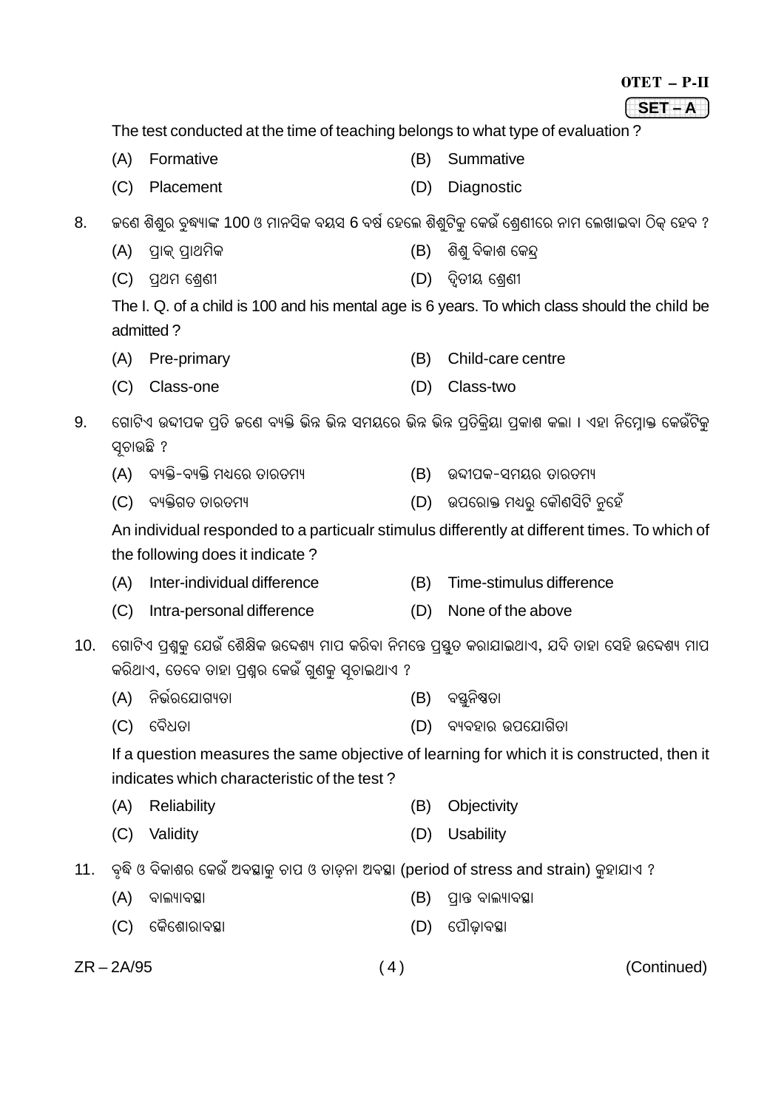|     |                                                                                                                                                          |                                                                                           |     | OTET - P-II                                                                                      |
|-----|----------------------------------------------------------------------------------------------------------------------------------------------------------|-------------------------------------------------------------------------------------------|-----|--------------------------------------------------------------------------------------------------|
|     |                                                                                                                                                          |                                                                                           |     | $SET - A$                                                                                        |
|     | The test conducted at the time of teaching belongs to what type of evaluation?                                                                           |                                                                                           |     |                                                                                                  |
|     | (A)                                                                                                                                                      | Formative                                                                                 | (B) | Summative                                                                                        |
|     | (C)                                                                                                                                                      | Placement                                                                                 | (D) | Diagnostic                                                                                       |
| 8.  |                                                                                                                                                          |                                                                                           |     | କଣେ ଶିଶୁର ବୃଦ୍ଧ୍ୟାଙ୍କ 100 ଓ ମାନସିକ ବୟସ 6 ବର୍ଷ ହେଲେ ଶିଶୁଟିକୁ କେଉଁ ଶ୍ରେଣୀରେ ନାମ ଲେଖାଇବା ଠିକ୍ ହେବ ? |
|     | (A)                                                                                                                                                      | ପ୍ରାକ୍ ପ୍ରାଥମିକ                                                                           | (B) | ଶିଶୁ ବିକାଶ କେନ୍ଦ୍ର                                                                               |
|     | (C)                                                                                                                                                      | ପ୍ରଥମ ଶ୍ରେଣୀ                                                                              | (D) | ଦ୍ୱିତୀୟ ଶ୍ରେଣୀ                                                                                   |
|     | The I. Q. of a child is 100 and his mental age is 6 years. To which class should the child be<br>admitted?                                               |                                                                                           |     |                                                                                                  |
|     | (A)                                                                                                                                                      | Pre-primary                                                                               | (B) | Child-care centre                                                                                |
|     | (C)                                                                                                                                                      | Class-one                                                                                 | (D) | Class-two                                                                                        |
| 9.  | ଗୋଟିଏ ଉଦ୍ଦୀପକ ପ୍ରତି ଜଣେ ବ୍ୟକ୍ତି ଭିନ୍ନ ଭିନ୍ନ ସମୟରେ ଭିନ୍ନ ଭିନ୍ନ ପ୍ରତିକ୍ରିୟା ପ୍ରକାଶ କଲା । ଏହା ନିମ୍ନୋକ୍ତ କେଉଁଟିକୁ<br>ସୂଚାଉଛି ?                               |                                                                                           |     |                                                                                                  |
|     | (A)                                                                                                                                                      | ବ୍ୟକ୍ତି-ବ୍ୟକ୍ତି ମଧ୍ୟରେ ତାରତମ୍ୟ                                                            | (B) | ଉଦ୍ଦୀପକ-ସମୟର ତାରତମ୍ୟ                                                                             |
|     | (C)                                                                                                                                                      | ବ୍ୟକ୍ତିଗତ ତାରତମ୍ୟ                                                                         | (D) | ଉପରୋକ୍ତ ମଧ୍ୟରୁ କୌଣସିଟି ନୁହେଁ                                                                     |
|     |                                                                                                                                                          | the following does it indicate?                                                           |     | An individual responded to a particualr stimulus differently at different times. To which of     |
|     | (A)                                                                                                                                                      | Inter-individual difference                                                               | (B) | Time-stimulus difference                                                                         |
|     | (C)                                                                                                                                                      | Intra-personal difference                                                                 | (D) | None of the above                                                                                |
| 10. | ଗୋଟିଏ ପ୍ରଶ୍ନକୁ ଯେଉଁ ଶୈକ୍ଷିକ ଉଦ୍ଦେଶ୍ୟ ମାପ କରିବା ନିମନ୍ତେ ପ୍ରସ୍ତୁତ କରାଯାଇଥାଏ, ଯଦି ତାହା ସେହି ଉଦ୍ଦେଶ୍ୟ ମାପ<br>କରିଥାଏ, ତେବେ ତାହା ପ୍ରଶ୍ନର କେଉଁ ଗୁଣକୁ ସୂଚାଇଥାଏ ? |                                                                                           |     |                                                                                                  |
|     | (A)                                                                                                                                                      | ନିର୍ଭରଯୋଗ୍ୟତା                                                                             | (B) | ବସ୍ତୁନିଷ୍ଠତା                                                                                     |
|     | (C)                                                                                                                                                      | ବୈଧତା                                                                                     | (D) | ବ୍ୟବହାର ଉପଯୋଗିତା                                                                                 |
|     | If a question measures the same objective of learning for which it is constructed, then it<br>indicates which characteristic of the test?                |                                                                                           |     |                                                                                                  |
|     | (A)                                                                                                                                                      | Reliability                                                                               | (B) | Objectivity                                                                                      |
|     | (C)                                                                                                                                                      | Validity                                                                                  | (D) | <b>Usability</b>                                                                                 |
| 11. |                                                                                                                                                          | ବୃଦ୍ଧି ଓ ବିକାଶର କେଉଁ ଅବସ୍ଥାକୁ ଚାପ ଓ ତାଡ଼ନା ଅବସ୍ଥା (period of stress and strain) କୁହାଯାଏ ? |     |                                                                                                  |
|     | (A)                                                                                                                                                      | ବାଲ୍ୟାବସ୍ଥା                                                                               | (B) | ପ୍ରାନ୍ତ ବାଲ୍ୟାବସ୍ଥା                                                                              |
|     | (C)                                                                                                                                                      | କୈଶୋରାବସ୍ଥା                                                                               | (D) | ପୌଢ଼ାବସ୍ଥା                                                                                       |

ZR – 2A/95 ( 4 ) (Continued)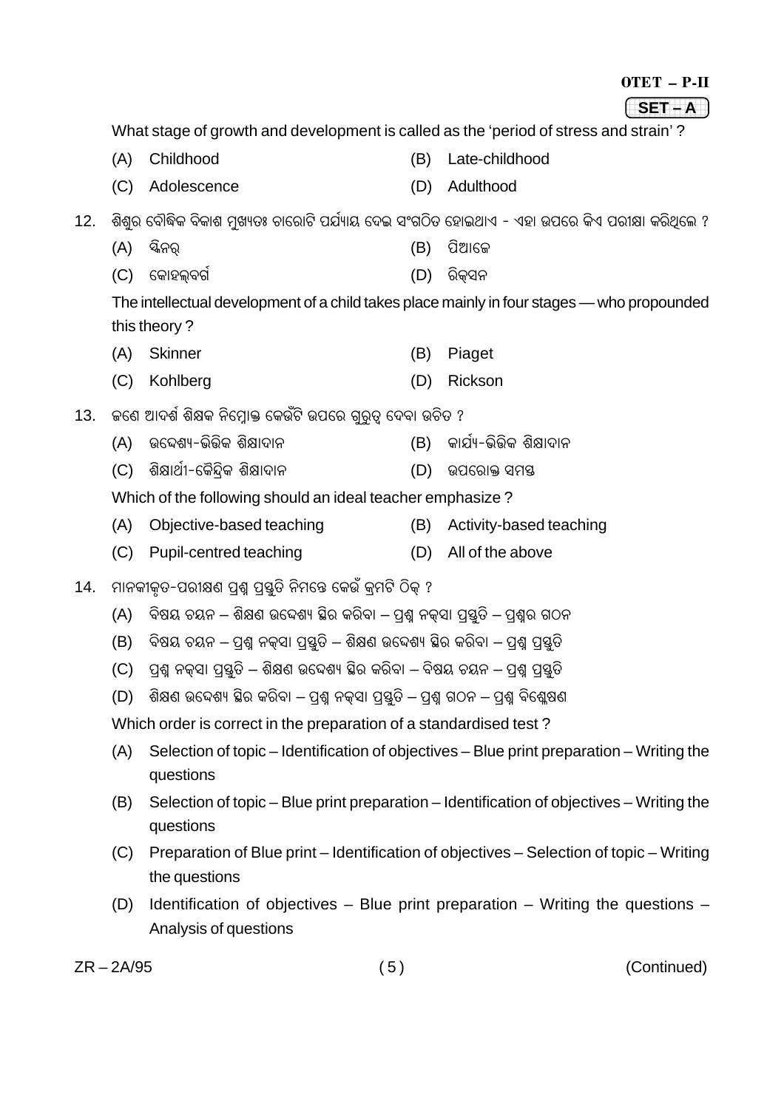|     |                                                                                                                                                                                                                                                                                                                                                 |                                                                                                |     | OTET - P-II                                                                                |  |  |
|-----|-------------------------------------------------------------------------------------------------------------------------------------------------------------------------------------------------------------------------------------------------------------------------------------------------------------------------------------------------|------------------------------------------------------------------------------------------------|-----|--------------------------------------------------------------------------------------------|--|--|
|     |                                                                                                                                                                                                                                                                                                                                                 |                                                                                                |     | SET-A                                                                                      |  |  |
|     |                                                                                                                                                                                                                                                                                                                                                 | What stage of growth and development is called as the 'period of stress and strain'?           |     |                                                                                            |  |  |
|     | (A)                                                                                                                                                                                                                                                                                                                                             | Childhood                                                                                      | (B) | Late-childhood                                                                             |  |  |
|     | (C)                                                                                                                                                                                                                                                                                                                                             | Adolescence                                                                                    | (D) | Adulthood                                                                                  |  |  |
| 12. |                                                                                                                                                                                                                                                                                                                                                 | ଶିଶୁର ବୌଦ୍ଧିକ ବିକାଶ ମୁଖ୍ୟତଃ ଚାରୋଟି ପର୍ଯ୍ୟାୟ ଦେଇ ସଂଗଠିତ ହୋଇଥାଏ - ଏହା ଉପରେ କିଏ ପରୀକ୍ଷା କରିଥିଲେ ? |     |                                                                                            |  |  |
|     | (A)                                                                                                                                                                                                                                                                                                                                             | ସ୍କିନର୍                                                                                        | (B) | ପିଆଜେ                                                                                      |  |  |
|     | (C)                                                                                                                                                                                                                                                                                                                                             | କୋହଲ୍ବର୍ଗ                                                                                      | (D) | ରିକ୍ସନ                                                                                     |  |  |
|     |                                                                                                                                                                                                                                                                                                                                                 |                                                                                                |     | The intellectual development of a child takes place mainly in four stages — who propounded |  |  |
|     |                                                                                                                                                                                                                                                                                                                                                 | this theory?                                                                                   |     |                                                                                            |  |  |
|     | (A)                                                                                                                                                                                                                                                                                                                                             | <b>Skinner</b>                                                                                 | (B) | Piaget                                                                                     |  |  |
|     | (C)                                                                                                                                                                                                                                                                                                                                             | Kohlberg                                                                                       | (D) | Rickson                                                                                    |  |  |
| 13. |                                                                                                                                                                                                                                                                                                                                                 | କଣେ ଆଦର୍ଶ ଶିକ୍ଷକ ନିମ୍ନୋକ୍ତ କେଉଁଟି ଉପରେ ଗୁରୁତ୍ୱ ଦେବା ଉଚିତ ?                                     |     |                                                                                            |  |  |
|     | (A)                                                                                                                                                                                                                                                                                                                                             | ଉଦ୍ଦେଶ୍ୟ-ଭିତ୍ତିକ ଶିକ୍ଷାଦାନ                                                                     | (B) | କାର୍ଯ୍ୟ-ଭିଭିକ ଶିକ୍ଷାଦାନ                                                                    |  |  |
|     | (C)                                                                                                                                                                                                                                                                                                                                             | ଶିକ୍ଷାର୍ଥୀ-କୈନ୍ଦ୍ରିକ ଶିକ୍ଷାଦାନ                                                                 | (D) | ଉପରୋକ୍ତ ସମୟ                                                                                |  |  |
|     | Which of the following should an ideal teacher emphasize?                                                                                                                                                                                                                                                                                       |                                                                                                |     |                                                                                            |  |  |
|     | (A)                                                                                                                                                                                                                                                                                                                                             | Objective-based teaching                                                                       | (B) | Activity-based teaching                                                                    |  |  |
|     | (C)                                                                                                                                                                                                                                                                                                                                             | Pupil-centred teaching                                                                         | (D) | All of the above                                                                           |  |  |
| 14. | ମାନକୀକୃତ-ପରୀକ୍ଷଣ ପ୍ରଶ୍ନ ପ୍ରସ୍ତୁତି ନିମନ୍ତେ କେଉଁ କ୍ରମଟି ଠିକ୍ ?                                                                                                                                                                                                                                                                                    |                                                                                                |     |                                                                                            |  |  |
|     | (A)                                                                                                                                                                                                                                                                                                                                             | ବିଷୟ ଚୟନ – ଶିକ୍ଷଣ ଉଦ୍ଦେଶ୍ୟ ଛିର କରିବା – ପ୍ରଶ୍ନ ନକ୍ସା ପ୍ରସ୍ତୁତି – ପ୍ରଶ୍ନର ଗଠନ                    |     |                                                                                            |  |  |
|     | (B)                                                                                                                                                                                                                                                                                                                                             | ବିଷୟ ଚୟନ – ପ୍ରଶ୍ନ ନକ୍ସା ପ୍ରସ୍ତୁତି – ଶିକ୍ଷଣ ଉଦ୍ଦେଶ୍ୟ ସ୍ଥିର କରିବା – ପ୍ରଶ୍ନ ପ୍ରସ୍ତୁତି             |     |                                                                                            |  |  |
|     | (C)                                                                                                                                                                                                                                                                                                                                             | ପ୍ରଶ୍ମ ନକ୍ସା ପ୍ରସ୍ତୁତି – ଶିକ୍ଷଣ ଉଦ୍ଦେଶ୍ୟ ସ୍ଥିର କରିବା – ବିଷୟ ଚୟନ – ପ୍ରଶ୍ମ ପ୍ରସ୍ତୁତି             |     |                                                                                            |  |  |
|     | ଶିକ୍ଷଣ ଉଦ୍ଦେଶ୍ୟ ହିର କରିବା – ପ୍ରଶ୍ନ ନକ୍ସା ପ୍ରସ୍ତୁତି – ପ୍ରଶ୍ନ ଗଠନ – ପ୍ରଶ୍ନ ବିଶ୍ଳେଷଣ<br>(D)                                                                                                                                                                                                                                                        |                                                                                                |     |                                                                                            |  |  |
|     |                                                                                                                                                                                                                                                                                                                                                 | Which order is correct in the preparation of a standardised test?                              |     |                                                                                            |  |  |
|     | Selection of topic – Identification of objectives – Blue print preparation – Writing the<br>(A)<br>questions<br>Selection of topic - Blue print preparation - Identification of objectives - Writing the<br>(B)<br>questions<br>Preparation of Blue print – Identification of objectives – Selection of topic – Writing<br>(C)<br>the questions |                                                                                                |     |                                                                                            |  |  |
|     |                                                                                                                                                                                                                                                                                                                                                 |                                                                                                |     |                                                                                            |  |  |
|     |                                                                                                                                                                                                                                                                                                                                                 |                                                                                                |     |                                                                                            |  |  |
|     | (D)                                                                                                                                                                                                                                                                                                                                             | Analysis of questions                                                                          |     | Identification of objectives - Blue print preparation - Writing the questions -            |  |  |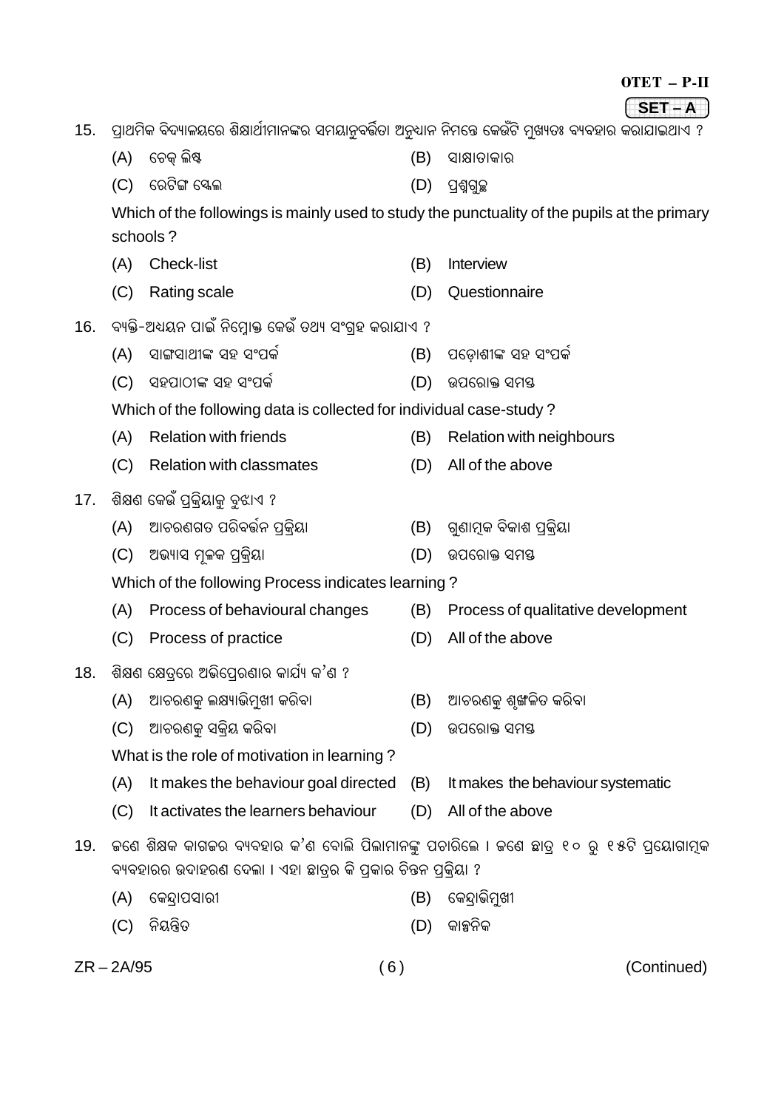| OTET<br>$\overline{\phantom{a}}$ |  |  |
|----------------------------------|--|--|
|----------------------------------|--|--|

 $SET - A$ 15. ପାଥମିକ ବିଦ୍ୟାଳୟରେ ଶିକ୍ଷାର୍ଥୀମାନଙ୍କର ସମୟାନବର୍ତ୍ତିତା ଅନ୍ଧାନ ନିମନ୍ତେ କେଉଁଟି ମୁଖ୍ୟତଃ ବ୍ୟବହାର କରାଯାଇଥାଏ ?

- (A) ଟେକ ଲିଷ୍ଟ (B) ସାକ୍ଷାତାକାର
- (C) ରେଟିଙ୍ଗ ସ୍କେଲ  $(D)$  ପଶ୍ୱଗୁଚ୍ଛ

Which of the followings is mainly used to study the punctuality of the pupils at the primary schools?

- (A) Check-list (B) Interview
- (C) Rating scale (D) Questionnaire
- 16. ବ୍ୟକ୍ତି-ଅଧ୍ୟୟନ ପାଇଁ ନିମ୍ବୋକ୍ତ କେଉଁ ତଥ୍ୟ ସଂଗହ କରାଯାଏ ?
	- (A) ସାଙ୍ଗସାଥୀଙ୍କ ସହ ସଂମର୍ଜ (B) ପଡୋଶୀଙ୍କ ସହ ସଂପର୍କ
	- (C) ସହପାଠୀଙ୍କ ସହ ସଂପର୍କ (D) ଉପରୋକ୍ତ ସମୟ
	- Which of the following data is collected for individual case-study?
	- (A) Relation with friends (B) Relation with neighbours
	- (C) Relation with classmates (D) All of the above
- ଶିକ୍ଷଣ କେଉଁ ପକ୍ିୟାକୁ ବୁଝାଏ ?  $17.$ 
	- ଆଚରଣଗତ ପରିବର୍ତ୍ତନ ପକିୟା (B) ଗ୍ରଣାମ୍ବକ ବିକାଶ ପକିୟା  $(A)$
	- (C) ଅଭ୍ୟାସ ମଳକ ପକିୟା (D) ଉପରୋକ୍ତ ସମୟ
	- Which of the following Process indicates learning?
	- (A) Process of behavioural changes (B) Process of qualitative development
	- (C) Process of practice (D) All of the above
- 18. ଶିକ୍ଷଣ କ୍ଷେତ୍ରେ ଅଭିପେରଣାର କାର୍ଯ୍ୟ କ'ଣ ?
	- ଆଚରଣକୁ ଲକ୍ଷ୍ୟାଭିମୁଖୀ କରିବା (B) ଆଚରଣକୁ ଶୃଙ୍ଖଳିତ କରିବା  $(A)$
	- (C) ଆଚରଣକୁ ସକ୍ୱିୟ କରିବା
	- What is the role of motivation in learning?
	- (A) It makes the behaviour goal directed (B) It makes the behaviour systematic
	- (C) It activates the learners behaviour (D) All of the above
- 19. ଜଣେ ଶିକ୍ଷକ କାଗଜର ବ୍ୟବହାର କ'ଣ ବୋଲି ପିଲାମାନଙ୍କ ପଚାରିଲେ । ଜଣେ ଛାତ୍ର ୧୦ ରୁ ୧୫ଟି ପ୍ରୟୋଗାମୂକ ବ୍ୟବହାରର ଉଦାହରଣ ଦେଲା । ଏହା ଛାତ୍ରର କି ପ୍ରକାର ଚିନ୍ତନ ପ୍ରକ୍ରିୟା ?
	- (B) କେନ୍ଦାଭିମ୍ଖୀ (A) କେନ୍ଦାପସାରୀ
	- $(D)$  କାଳ୍ପନିକ (C) ନିୟନ୍ତିତ
- $ZR 2A/95$

- 
- 
- (D) ଉପରୋକ୍ତ ସମୟ
-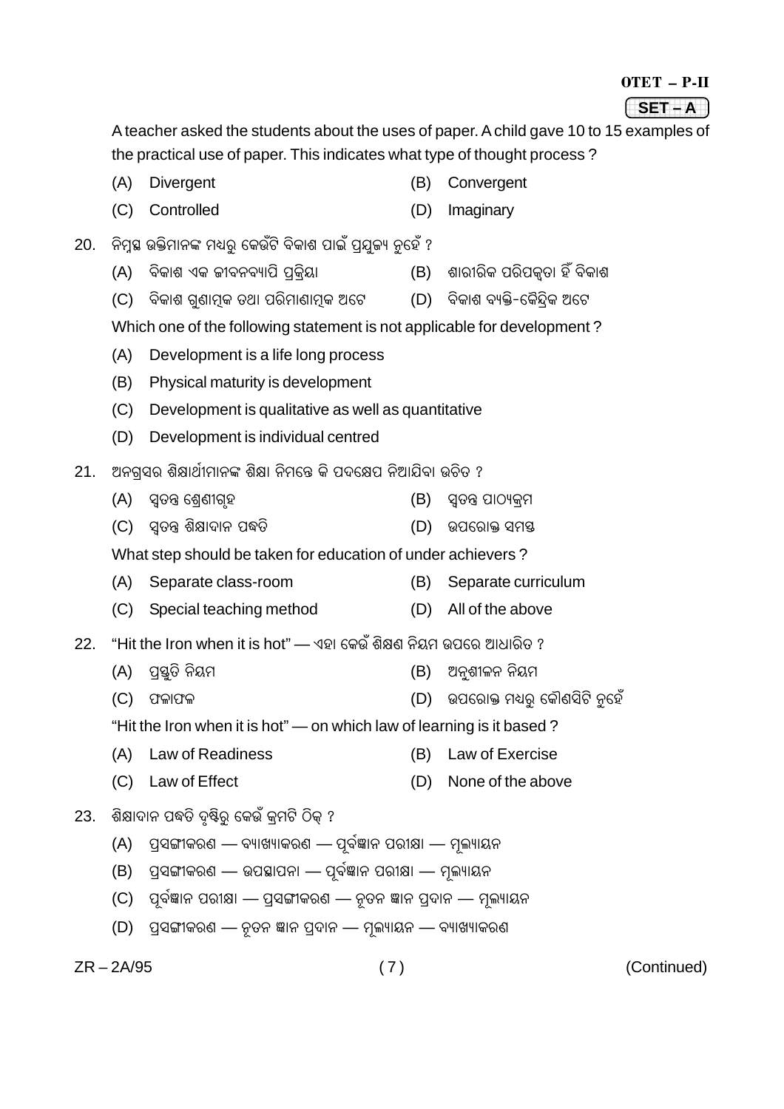|  | P.H |
|--|-----|
|  |     |
|  |     |

#### 1234 The Control of the Control of the Control of the Control of the Control of the Control of the Control of **(SET – A**)

A teacher asked the students about the uses of paper. A child gave 10 to 15 examples of the practical use of paper. This indicates what type of thought process ?

- (A) Divergent (B) Convergent
- (C) Controlled (D) Imaginary
- 20. ନିମ୍ନୁଷ ଉକ୍ତିମାନଙ୍କ ମଧ୍ୟର୍ କେଉଁଟି ବିକାଶ ପାଇଁ ପ୍ରଯ୍ତ୍ୟା ନହେଁ ?
	- (A) ବିକାଶ ଏକ ଜୀବନବ୍ୟାପି ପକିୟା (B) ଶାରୀରିକ ପରିପକ୍ତା ହିଁ ବିକାଶ
	- (C) ବିକାଶ ଗ୍ରଣାମୂକ ତଥା ପରିମାଣାମୂକ ଅଟେ (D) ବିକାଶ ବ୍ୟକ୍ତି-କୈନ୍ଦିକ ଅଟେ

Which one of the following statement is not applicable for development ?

- (A) Development is a life long process
- (B) Physical maturity is development
- (C) Development is qualitative as well as quantitative
- (D) Development is individual centred
- <u>21. ଅନଗସର ଶିକ୍ଷାର୍ଥୀମାନଙ୍କ ଶିକ୍ଷା ନିମନ୍ତେ କି ପଦକ୍ଷେପ ନିଆଯିବା ଉଚିତ ?</u>
	- (A) ସ୍ୱତନ୍ତ୍ର ଶେଶୀଗୃହ (B) ସ୍ୱତନ୍ତ୍ର ପାଠ୍ୟକ୍ରମ
	- (C) ସ୍ତନ୍ତ୍ର ଶିକ୍ଷାଦାନ ପଦ୍ଧତି (D) ଉପରୋକ୍ତ ସମୟ

What step should be taken for education of under achievers ?

- (A) Separate class-room (B) Separate curriculum
- (C) Special teaching method (D) All of the above
- $22.$  "Hit the Iron when it is hot" ଏହା କେଉଁ ଶିକ୍ଷଣ ନିୟମ ଉପରେ ଆଧାରିତ ?
	- (A) ¨÷Öë†ÿç œÿçßþ (B) AœÿëÉêÁÿœÿ œÿçßþ
	- (C) üÿÁÿæüÿÁÿ (D) D¨{ÀÿæNÿ þšÀëÿ {Lÿò~Óçsç œëÿ{Üÿô

"Hit the Iron when it is hot" — on which law of learning is it based ?

- (A) Law of Readiness (B) Law of Exercise
- (C) Law of Effect (D) None of the above
- 23. ଶିକ୍ଷାଦାନ ପଦ୍ଧତି ଦୃଷ୍ଟିରୁ କେଉଁ କ୍ମଟି ଠିକ୍ ?
	- (A) ପ୍ରସଙ୍ଗୀକରଣ ବ୍ୟାଖ୍ୟାକରଣ ପୂର୍ବଜ୍ଞାନ ପରୀକ୍ଷା ମୂଲ୍ୟାୟନ
	- (B) ପ୍ରସଙ୍ଗୀକରଣ ଉପସ୍ଥାପନା ପୂର୍ବଜ୍ଞାନ ପରୀକ୍ଷା ମୂଲ୍ୟାୟନ
	- (C) ପୂର୍ବଞ୍ଜାନ ପରୀକ୍ଷା ପ୍ରସଙ୍ଗୀକରଣ ନୂତନ ଜ୍ଞାନ ପ୍ରଦାନ ମୂଲ୍ୟାୟନ
	- (D) ପ୍ରସଙ୍ଗୀକରଣ ନୂତନ ଜ୍ଞାନ ପ୍ରଦାନ ମୂଲ୍ୟାୟନ ବ୍ୟାଖ୍ୟାକରଣ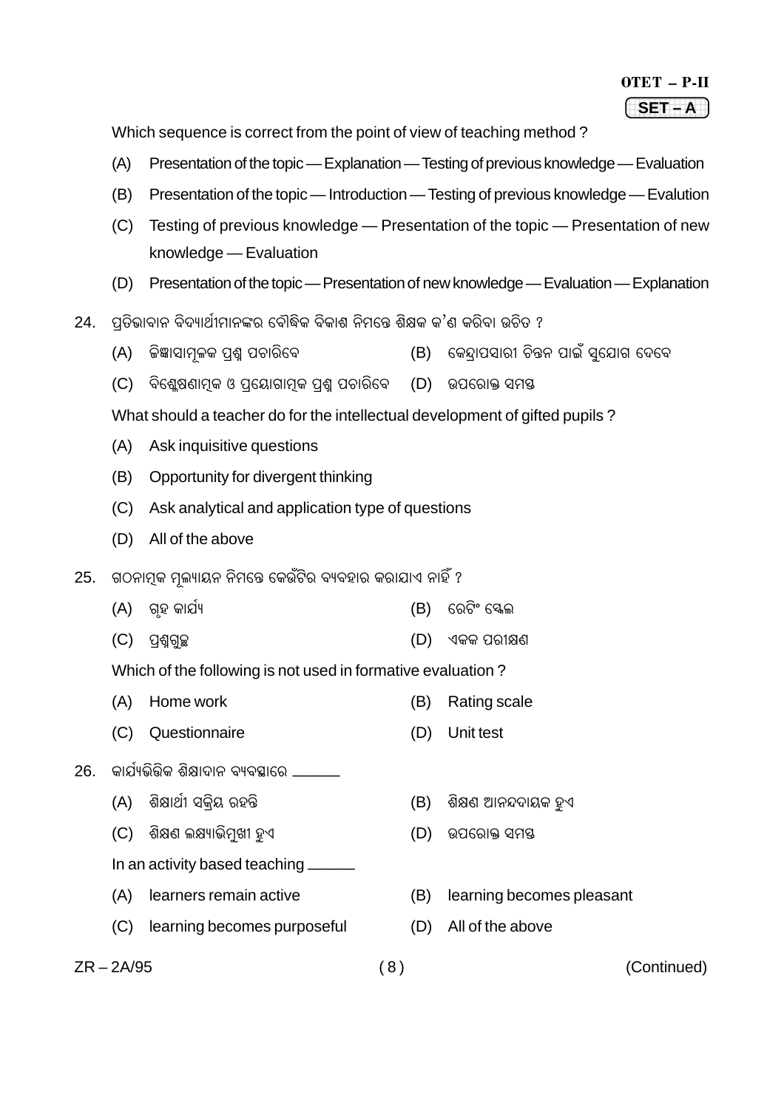#### OTET – P-II 1234 The Control of the Control of the Control of the Control of the Control of the Control of the Control of **(SET – A**)

Which sequence is correct from the point of view of teaching method ?

- (A) Presentation of the topic Explanation Testing of previous knowledge Evaluation
- (B) Presentation of the topic Introduction Testing of previous knowledge Evalution
- (C) Testing of previous knowledge Presentation of the topic Presentation of new knowledge — Evaluation
- (D) Presentation of the topic Presentation of new knowledge Evaluation Explanation
- 24. ପ୍ରତିଭାବାନ ବିଦ୍ୟାର୍ଥୀମାନଙ୍କର ବୌଦ୍ଧିକ ବିକାଶ ନିମନ୍ତେ ଶିକ୍ଷକ କ'ଶ କରିବା ଉଚିତ ?
	- (A) କିଜ୍ଞାସାମଳକ ପଶ୍ଚ ପଚାରିବେ (B) କେନ୍ଦାପସାରୀ ଚିନ୍ତନ ପାଇଁ ସଯୋଗ ଦେବେ
	- (C) ବିଶେଷଣାମକ ଓ ପ୍ରୟୋଗାମକ ପଶ ପଚାରିବେ (D) ଉପରୋକ୍ତ ସମୟ

What should a teacher do for the intellectual development of gifted pupils ?

- (A) Ask inquisitive questions
- (B) Opportunity for divergent thinking
- (C) Ask analytical and application type of questions
- (D) All of the above
- 25. ଗଠନାମୂକ ମୁଲ୍ୟାୟନ ନିମନ୍ତେ କେଉଁଟିର ବ୍ୟବହାର କରାଯାଏ ନାହିଁ ?
	- (A) SõÜÿ Lÿæ¾ö¿ (B) {Àÿsçó {Ôÿàÿ
	- (C) ¨÷ɧSëbÿ (D) FLÿLÿ ¨Àÿêä~

Which of the following is not used in formative evaluation ?

- (A) Home work (B) Rating scale
- (C) Questionnaire (D) Unit test
- <u>26. କାର୍ଯ୍ୟଭିଭିକ ଶିକ୍ଷାଦାନ ବ୍ୟବସ୍ଥାରେ </u>
	- (A) ଶିକ୍ଷାର୍ଥୀ ସକିୟ ରହନ୍ତି (B) ଶିକ୍ଷଣ ଆନନ୍ଦଦାୟକ ହୁଏ
	- (C) ଶିକ୍ଷଣ ଲକ୍ଷ୍ୟାଭିମ୍ଖୀ ହୁଏ (D) ଉପରୋକ୍ତ ସମୟ
	- In an activity based teaching ———
	-
	- (C) learning becomes purposeful (D) All of the above
- 
- - (A) learners remain active (B) learning becomes pleasant
		-
- ZR 2A/95 ( 8 ) (Continued)
	-